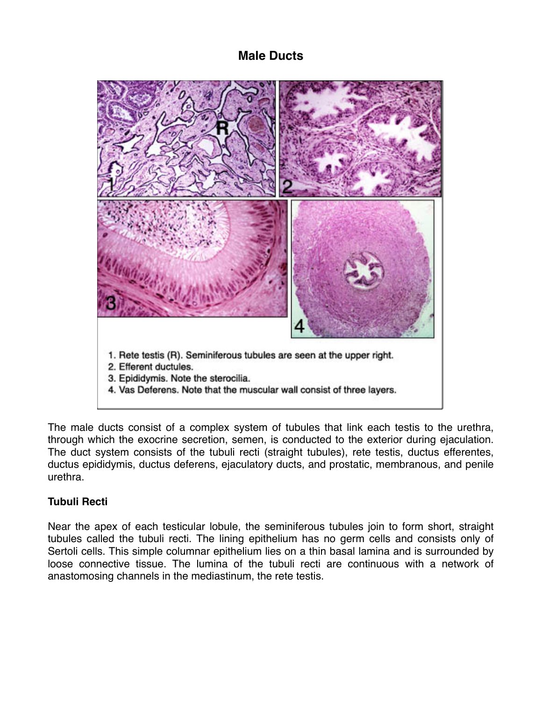# **Male Ducts**



The male ducts consist of a complex system of tubules that link each testis to the urethra, through which the exocrine secretion, semen, is conducted to the exterior during ejaculation. The duct system consists of the tubuli recti (straight tubules), rete testis, ductus efferentes, ductus epididymis, ductus deferens, ejaculatory ducts, and prostatic, membranous, and penile urethra.

## **Tubuli Recti**

Near the apex of each testicular lobule, the seminiferous tubules join to form short, straight tubules called the tubuli recti. The lining epithelium has no germ cells and consists only of Sertoli cells. This simple columnar epithelium lies on a thin basal lamina and is surrounded by loose connective tissue. The lumina of the tubuli recti are continuous with a network of anastomosing channels in the mediastinum, the rete testis.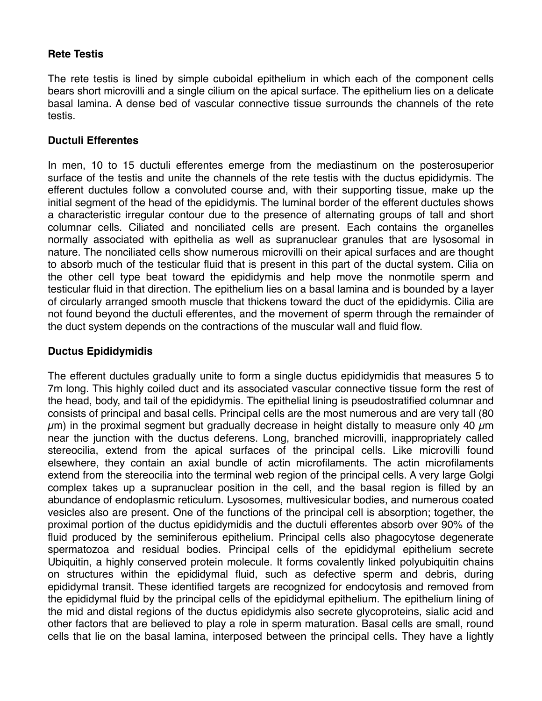## **Rete Testis**

The rete testis is lined by simple cuboidal epithelium in which each of the component cells bears short microvilli and a single cilium on the apical surface. The epithelium lies on a delicate basal lamina. A dense bed of vascular connective tissue surrounds the channels of the rete testis.

### **Ductuli Efferentes**

In men, 10 to 15 ductuli efferentes emerge from the mediastinum on the posterosuperior surface of the testis and unite the channels of the rete testis with the ductus epididymis. The efferent ductules follow a convoluted course and, with their supporting tissue, make up the initial segment of the head of the epididymis. The luminal border of the efferent ductules shows a characteristic irregular contour due to the presence of alternating groups of tall and short columnar cells. Ciliated and nonciliated cells are present. Each contains the organelles normally associated with epithelia as well as supranuclear granules that are lysosomal in nature. The nonciliated cells show numerous microvilli on their apical surfaces and are thought to absorb much of the testicular fluid that is present in this part of the ductal system. Cilia on the other cell type beat toward the epididymis and help move the nonmotile sperm and testicular fluid in that direction. The epithelium lies on a basal lamina and is bounded by a layer of circularly arranged smooth muscle that thickens toward the duct of the epididymis. Cilia are not found beyond the ductuli efferentes, and the movement of sperm through the remainder of the duct system depends on the contractions of the muscular wall and fluid flow.

#### **Ductus Epididymidis**

The efferent ductules gradually unite to form a single ductus epididymidis that measures 5 to 7m long. This highly coiled duct and its associated vascular connective tissue form the rest of the head, body, and tail of the epididymis. The epithelial lining is pseudostratified columnar and consists of principal and basal cells. Principal cells are the most numerous and are very tall (80  $\mu$ m) in the proximal segment but gradually decrease in height distally to measure only 40  $\mu$ m near the junction with the ductus deferens. Long, branched microvilli, inappropriately called stereocilia, extend from the apical surfaces of the principal cells. Like microvilli found elsewhere, they contain an axial bundle of actin microfilaments. The actin microfilaments extend from the stereocilia into the terminal web region of the principal cells. A very large Golgi complex takes up a supranuclear position in the cell, and the basal region is filled by an abundance of endoplasmic reticulum. Lysosomes, multivesicular bodies, and numerous coated vesicles also are present. One of the functions of the principal cell is absorption; together, the proximal portion of the ductus epididymidis and the ductuli efferentes absorb over 90% of the fluid produced by the seminiferous epithelium. Principal cells also phagocytose degenerate spermatozoa and residual bodies. Principal cells of the epididymal epithelium secrete Ubiquitin, a highly conserved protein molecule. It forms covalently linked polyubiquitin chains on structures within the epididymal fluid, such as defective sperm and debris, during epididymal transit. These identified targets are recognized for endocytosis and removed from the epididymal fluid by the principal cells of the epididymal epithelium. The epithelium lining of the mid and distal regions of the ductus epididymis also secrete glycoproteins, sialic acid and other factors that are believed to play a role in sperm maturation. Basal cells are small, round cells that lie on the basal lamina, interposed between the principal cells. They have a lightly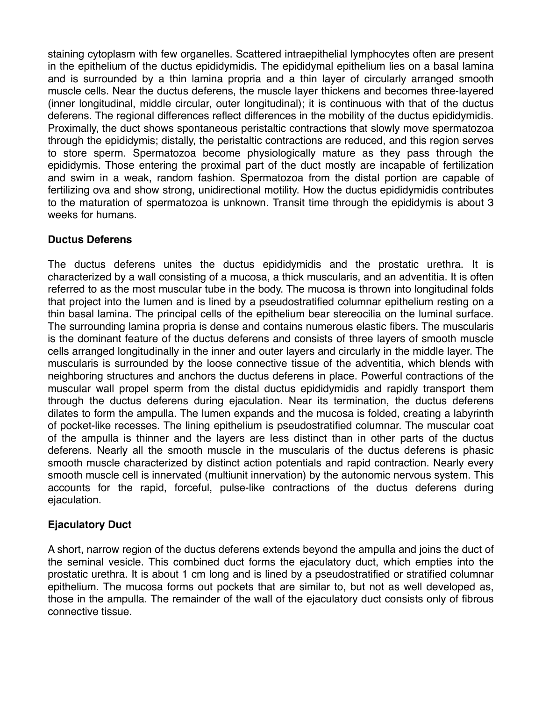staining cytoplasm with few organelles. Scattered intraepithelial lymphocytes often are present in the epithelium of the ductus epididymidis. The epididymal epithelium lies on a basal lamina and is surrounded by a thin lamina propria and a thin layer of circularly arranged smooth muscle cells. Near the ductus deferens, the muscle layer thickens and becomes three-layered (inner longitudinal, middle circular, outer longitudinal); it is continuous with that of the ductus deferens. The regional differences reflect differences in the mobility of the ductus epididymidis. Proximally, the duct shows spontaneous peristaltic contractions that slowly move spermatozoa through the epididymis; distally, the peristaltic contractions are reduced, and this region serves to store sperm. Spermatozoa become physiologically mature as they pass through the epididymis. Those entering the proximal part of the duct mostly are incapable of fertilization and swim in a weak, random fashion. Spermatozoa from the distal portion are capable of fertilizing ova and show strong, unidirectional motility. How the ductus epididymidis contributes to the maturation of spermatozoa is unknown. Transit time through the epididymis is about 3 weeks for humans.

## **Ductus Deferens**

The ductus deferens unites the ductus epididymidis and the prostatic urethra. It is characterized by a wall consisting of a mucosa, a thick muscularis, and an adventitia. It is often referred to as the most muscular tube in the body. The mucosa is thrown into longitudinal folds that project into the lumen and is lined by a pseudostratified columnar epithelium resting on a thin basal lamina. The principal cells of the epithelium bear stereocilia on the luminal surface. The surrounding lamina propria is dense and contains numerous elastic fibers. The muscularis is the dominant feature of the ductus deferens and consists of three layers of smooth muscle cells arranged longitudinally in the inner and outer layers and circularly in the middle layer. The muscularis is surrounded by the loose connective tissue of the adventitia, which blends with neighboring structures and anchors the ductus deferens in place. Powerful contractions of the muscular wall propel sperm from the distal ductus epididymidis and rapidly transport them through the ductus deferens during ejaculation. Near its termination, the ductus deferens dilates to form the ampulla. The lumen expands and the mucosa is folded, creating a labyrinth of pocket-like recesses. The lining epithelium is pseudostratified columnar. The muscular coat of the ampulla is thinner and the layers are less distinct than in other parts of the ductus deferens. Nearly all the smooth muscle in the muscularis of the ductus deferens is phasic smooth muscle characterized by distinct action potentials and rapid contraction. Nearly every smooth muscle cell is innervated (multiunit innervation) by the autonomic nervous system. This accounts for the rapid, forceful, pulse-like contractions of the ductus deferens during ejaculation.

## **Ejaculatory Duct**

A short, narrow region of the ductus deferens extends beyond the ampulla and joins the duct of the seminal vesicle. This combined duct forms the ejaculatory duct, which empties into the prostatic urethra. It is about 1 cm long and is lined by a pseudostratified or stratified columnar epithelium. The mucosa forms out pockets that are similar to, but not as well developed as, those in the ampulla. The remainder of the wall of the ejaculatory duct consists only of fibrous connective tissue.